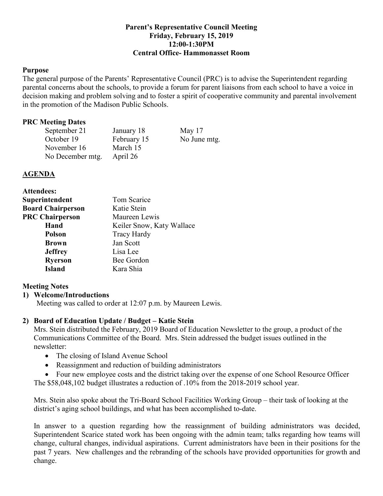### **Parent's Representative Council Meeting Friday, February 15, 2019 12:00-1:30PM Central Office- Hammonasset Room**

### **Purpose**

The general purpose of the Parents' Representative Council (PRC) is to advise the Superintendent regarding parental concerns about the schools, to provide a forum for parent liaisons from each school to have a voice in decision making and problem solving and to foster a spirit of cooperative community and parental involvement in the promotion of the Madison Public Schools.

### **PRC Meeting Dates**

| September 21     | January 18  | May $17$     |
|------------------|-------------|--------------|
| October 19       | February 15 | No June mtg. |
| November 16      | March 15    |              |
| No December mtg. | April 26    |              |

#### **AGENDA**

| Tom Scarice               |  |
|---------------------------|--|
| Katie Stein               |  |
| Maureen Lewis             |  |
| Keiler Snow, Katy Wallace |  |
| <b>Tracy Hardy</b>        |  |
| Jan Scott                 |  |
| Lisa Lee                  |  |
| Bee Gordon                |  |
| Kara Shia                 |  |
|                           |  |

### **Meeting Notes**

### **1) Welcome/Introductions**

Meeting was called to order at 12:07 p.m. by Maureen Lewis.

### **2) Board of Education Update / Budget – Katie Stein**

Mrs. Stein distributed the February, 2019 Board of Education Newsletter to the group, a product of the Communications Committee of the Board. Mrs. Stein addressed the budget issues outlined in the newsletter:

- The closing of Island Avenue School
- Reassignment and reduction of building administrators
- Four new employee costs and the district taking over the expense of one School Resource Officer The \$58,048,102 budget illustrates a reduction of .10% from the 2018-2019 school year.

Mrs. Stein also spoke about the Tri-Board School Facilities Working Group – their task of looking at the district's aging school buildings, and what has been accomplished to-date.

In answer to a question regarding how the reassignment of building administrators was decided, Superintendent Scarice stated work has been ongoing with the admin team; talks regarding how teams will change, cultural changes, individual aspirations. Current administrators have been in their positions for the past 7 years. New challenges and the rebranding of the schools have provided opportunities for growth and change.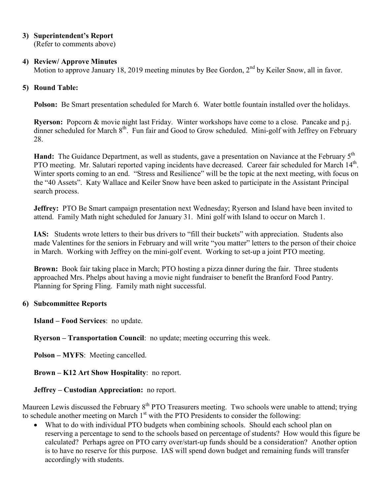**3) Superintendent's Report**

(Refer to comments above)

# **4) Review/ Approve Minutes**

Motion to approve January 18, 2019 meeting minutes by Bee Gordon,  $2<sup>nd</sup>$  by Keiler Snow, all in favor.

# **5) Round Table:**

**Polson:** Be Smart presentation scheduled for March 6. Water bottle fountain installed over the holidays.

**Ryerson:** Popcorn & movie night last Friday. Winter workshops have come to a close. Pancake and p.j. dinner scheduled for March 8<sup>th</sup>. Fun fair and Good to Grow scheduled. Mini-golf with Jeffrey on February 28.

**Hand:** The Guidance Department, as well as students, gave a presentation on Naviance at the February 5<sup>th</sup> PTO meeting. Mr. Salutari reported vaping incidents have decreased. Career fair scheduled for March 14<sup>th</sup>. Winter sports coming to an end. "Stress and Resilience" will be the topic at the next meeting, with focus on the "40 Assets". Katy Wallace and Keiler Snow have been asked to participate in the Assistant Principal search process.

**Jeffrey:** PTO Be Smart campaign presentation next Wednesday; Ryerson and Island have been invited to attend. Family Math night scheduled for January 31. Mini golf with Island to occur on March 1.

**IAS:** Students wrote letters to their bus drivers to "fill their buckets" with appreciation. Students also made Valentines for the seniors in February and will write "you matter" letters to the person of their choice in March. Working with Jeffrey on the mini-golf event. Working to set-up a joint PTO meeting.

**Brown:** Book fair taking place in March; PTO hosting a pizza dinner during the fair. Three students approached Mrs. Phelps about having a movie night fundraiser to benefit the Branford Food Pantry. Planning for Spring Fling. Family math night successful.

### **6) Subcommittee Reports**

**Island – Food Services**: no update.

**Ryerson – Transportation Council**: no update; meeting occurring this week.

**Polson – MYFS**: Meeting cancelled.

**Brown – K12 Art Show Hospitality**: no report.

# **Jeffrey – Custodian Appreciation:** no report.

Maureen Lewis discussed the February 8<sup>th</sup> PTO Treasurers meeting. Two schools were unable to attend; trying to schedule another meeting on March  $1<sup>st</sup>$  with the PTO Presidents to consider the following:

• What to do with individual PTO budgets when combining schools. Should each school plan on reserving a percentage to send to the schools based on percentage of students? How would this figure be calculated? Perhaps agree on PTO carry over/start-up funds should be a consideration? Another option is to have no reserve for this purpose. IAS will spend down budget and remaining funds will transfer accordingly with students.